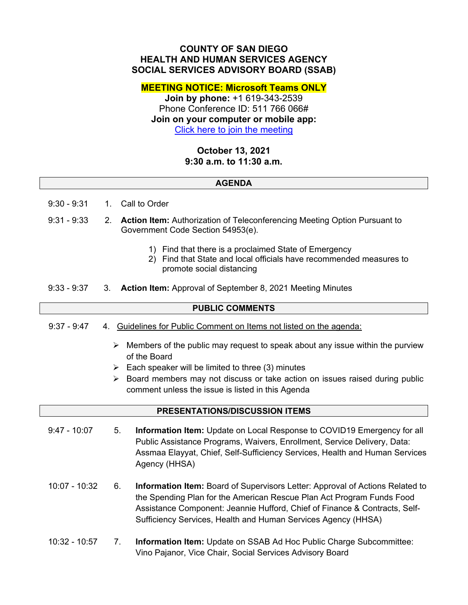## **COUNTY OF SAN DIEGO HEALTH AND HUMAN SERVICES AGENCY SOCIAL SERVICES ADVISORY BOARD (SSAB)**

**MEETING NOTICE: Microsoft Teams ONLY** 

**Join by phone:** +1 619-343-2539 Phone Conference ID: 511 766 066# **Join on your computer or mobile app:**  [Click here to join the meeting](https://teams.microsoft.com/l/meetup-join/19%3ameeting_ZWIyMmM5YzQtOGI2Mi00NmI0LTgyODMtOTJmNzJiMjVhMjBm%40thread.v2/0?context=%7b%22Tid%22%3a%224563af13-c029-41b3-b74c-965e8eec8f96%22%2c%22Oid%22%3a%2239a7bf66-6a88-4ff0-a899-61ea07a9b67c%22%7d)

# **October 13, 2021 9:30 a.m. to 11:30 a.m.**

#### **AGENDA**

- 9:30 9:31 1. Call to Order
- 9:31 9:33 2. **Action Item:** Authorization of Teleconferencing Meeting Option Pursuant to Government Code Section 54953(e).
	- 1) Find that there is a proclaimed State of Emergency
	- 2) Find that State and local officials have recommended measures to promote social distancing
- 9:33 9:37 3. **Action Item:** Approval of September 8, 2021 Meeting Minutes

## **PUBLIC COMMENTS**

- 9:37 9:47 4. Guidelines for Public Comment on Items not listed on the agenda:
	- $\triangleright$  Members of the public may request to speak about any issue within the purview of the Board
	- $\triangleright$  Each speaker will be limited to three (3) minutes
	- $\triangleright$  Board members may not discuss or take action on issues raised during public comment unless the issue is listed in this Agenda

#### **PRESENTATIONS/DISCUSSION ITEMS**

- 9:47 10:07 5. **Information Item:** Update on Local Response to COVID19 Emergency for all Public Assistance Programs, Waivers, Enrollment, Service Delivery, Data: Assmaa Elayyat, Chief, Self-Sufficiency Services, Health and Human Services Agency (HHSA)
- 10:07 10:32 6. **Information Item:** Board of Supervisors Letter: Approval of Actions Related to the Spending Plan for the American Rescue Plan Act Program Funds Food Assistance Component: Jeannie Hufford, Chief of Finance & Contracts, Self-Sufficiency Services, Health and Human Services Agency (HHSA)
- 10:32 10:57 7. **Information Item:** Update on SSAB Ad Hoc Public Charge Subcommittee: Vino Pajanor, Vice Chair, Social Services Advisory Board